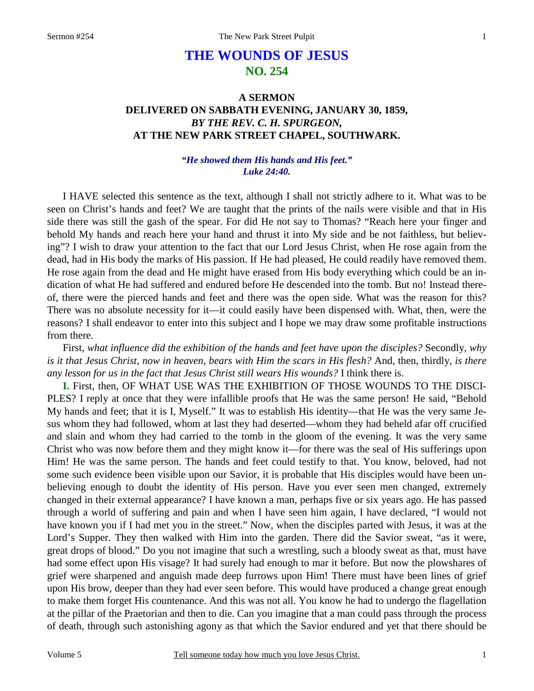# **THE WOUNDS OF JESUS NO. 254**

# **A SERMON DELIVERED ON SABBATH EVENING, JANUARY 30, 1859,**  *BY THE REV. C. H. SPURGEON,*  **AT THE NEW PARK STREET CHAPEL, SOUTHWARK.**

### *"He showed them His hands and His feet." Luke 24:40.*

I HAVE selected this sentence as the text, although I shall not strictly adhere to it. What was to be seen on Christ's hands and feet? We are taught that the prints of the nails were visible and that in His side there was still the gash of the spear. For did He not say to Thomas? "Reach here your finger and behold My hands and reach here your hand and thrust it into My side and be not faithless, but believing"? I wish to draw your attention to the fact that our Lord Jesus Christ, when He rose again from the dead, had in His body the marks of His passion. If He had pleased, He could readily have removed them. He rose again from the dead and He might have erased from His body everything which could be an indication of what He had suffered and endured before He descended into the tomb. But no! Instead thereof, there were the pierced hands and feet and there was the open side. What was the reason for this? There was no absolute necessity for it—it could easily have been dispensed with. What, then, were the reasons? I shall endeavor to enter into this subject and I hope we may draw some profitable instructions from there.

First, *what influence did the exhibition of the hands and feet have upon the disciples?* Secondly, *why is it that Jesus Christ, now in heaven, bears with Him the scars in His flesh?* And, then, thirdly, *is there any lesson for us in the fact that Jesus Christ still wears His wounds?* I think there is.

**I.** First, then, OF WHAT USE WAS THE EXHIBITION OF THOSE WOUNDS TO THE DISCI-PLES? I reply at once that they were infallible proofs that He was the same person! He said, "Behold My hands and feet; that it is I, Myself." It was to establish His identity—that He was the very same Jesus whom they had followed, whom at last they had deserted—whom they had beheld afar off crucified and slain and whom they had carried to the tomb in the gloom of the evening. It was the very same Christ who was now before them and they might know it—for there was the seal of His sufferings upon Him! He was the same person. The hands and feet could testify to that. You know, beloved, had not some such evidence been visible upon our Savior, it is probable that His disciples would have been unbelieving enough to doubt the identity of His person. Have you ever seen men changed, extremely changed in their external appearance? I have known a man, perhaps five or six years ago. He has passed through a world of suffering and pain and when I have seen him again, I have declared, "I would not have known you if I had met you in the street." Now, when the disciples parted with Jesus, it was at the Lord's Supper. They then walked with Him into the garden. There did the Savior sweat, "as it were, great drops of blood." Do you not imagine that such a wrestling, such a bloody sweat as that, must have had some effect upon His visage? It had surely had enough to mar it before. But now the plowshares of grief were sharpened and anguish made deep furrows upon Him! There must have been lines of grief upon His brow, deeper than they had ever seen before. This would have produced a change great enough to make them forget His countenance. And this was not all. You know he had to undergo the flagellation at the pillar of the Praetorian and then to die. Can you imagine that a man could pass through the process of death, through such astonishing agony as that which the Savior endured and yet that there should be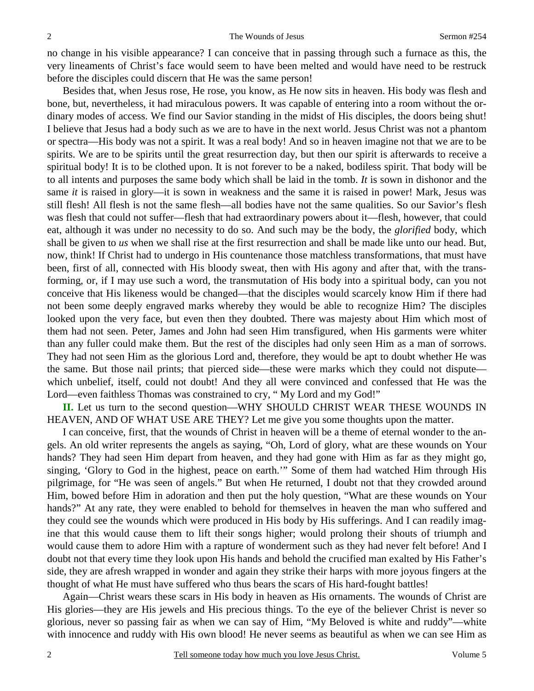no change in his visible appearance? I can conceive that in passing through such a furnace as this, the very lineaments of Christ's face would seem to have been melted and would have need to be restruck before the disciples could discern that He was the same person!

Besides that, when Jesus rose, He rose, you know, as He now sits in heaven. His body was flesh and bone, but, nevertheless, it had miraculous powers. It was capable of entering into a room without the ordinary modes of access. We find our Savior standing in the midst of His disciples, the doors being shut! I believe that Jesus had a body such as we are to have in the next world. Jesus Christ was not a phantom or spectra—His body was not a spirit. It was a real body! And so in heaven imagine not that we are to be spirits. We are to be spirits until the great resurrection day, but then our spirit is afterwards to receive a spiritual body! It is to be clothed upon. It is not forever to be a naked, bodiless spirit. That body will be to all intents and purposes the same body which shall be laid in the tomb. *It* is sown in dishonor and the same *it* is raised in glory—it is sown in weakness and the same it is raised in power! Mark, Jesus was still flesh! All flesh is not the same flesh—all bodies have not the same qualities. So our Savior's flesh was flesh that could not suffer—flesh that had extraordinary powers about it—flesh, however, that could eat, although it was under no necessity to do so. And such may be the body, the *glorified* body, which shall be given to *us* when we shall rise at the first resurrection and shall be made like unto our head. But, now, think! If Christ had to undergo in His countenance those matchless transformations, that must have been, first of all, connected with His bloody sweat, then with His agony and after that, with the transforming, or, if I may use such a word, the transmutation of His body into a spiritual body, can you not conceive that His likeness would be changed—that the disciples would scarcely know Him if there had not been some deeply engraved marks whereby they would be able to recognize Him? The disciples looked upon the very face, but even then they doubted. There was majesty about Him which most of them had not seen. Peter, James and John had seen Him transfigured, when His garments were whiter than any fuller could make them. But the rest of the disciples had only seen Him as a man of sorrows. They had not seen Him as the glorious Lord and, therefore, they would be apt to doubt whether He was the same. But those nail prints; that pierced side—these were marks which they could not dispute which unbelief, itself, could not doubt! And they all were convinced and confessed that He was the Lord—even faithless Thomas was constrained to cry, " My Lord and my God!"

**II.** Let us turn to the second question—WHY SHOULD CHRIST WEAR THESE WOUNDS IN HEAVEN, AND OF WHAT USE ARE THEY? Let me give you some thoughts upon the matter.

I can conceive, first, that the wounds of Christ in heaven will be a theme of eternal wonder to the angels. An old writer represents the angels as saying, "Oh, Lord of glory, what are these wounds on Your hands? They had seen Him depart from heaven, and they had gone with Him as far as they might go, singing, 'Glory to God in the highest, peace on earth.'" Some of them had watched Him through His pilgrimage, for "He was seen of angels." But when He returned, I doubt not that they crowded around Him, bowed before Him in adoration and then put the holy question, "What are these wounds on Your hands?" At any rate, they were enabled to behold for themselves in heaven the man who suffered and they could see the wounds which were produced in His body by His sufferings. And I can readily imagine that this would cause them to lift their songs higher; would prolong their shouts of triumph and would cause them to adore Him with a rapture of wonderment such as they had never felt before! And I doubt not that every time they look upon His hands and behold the crucified man exalted by His Father's side, they are afresh wrapped in wonder and again they strike their harps with more joyous fingers at the thought of what He must have suffered who thus bears the scars of His hard-fought battles!

Again—Christ wears these scars in His body in heaven as His ornaments. The wounds of Christ are His glories—they are His jewels and His precious things. To the eye of the believer Christ is never so glorious, never so passing fair as when we can say of Him, "My Beloved is white and ruddy"—white with innocence and ruddy with His own blood! He never seems as beautiful as when we can see Him as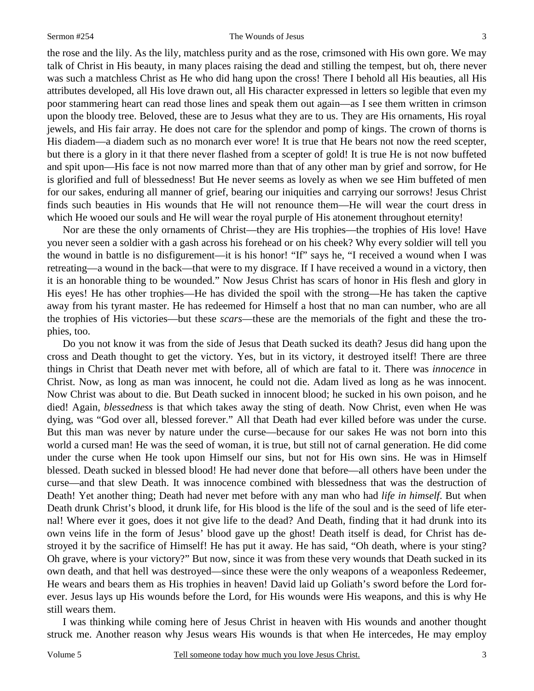#### Sermon #254 The Wounds of Jesus

3

the rose and the lily. As the lily, matchless purity and as the rose, crimsoned with His own gore. We may talk of Christ in His beauty, in many places raising the dead and stilling the tempest, but oh, there never was such a matchless Christ as He who did hang upon the cross! There I behold all His beauties, all His attributes developed, all His love drawn out, all His character expressed in letters so legible that even my poor stammering heart can read those lines and speak them out again—as I see them written in crimson upon the bloody tree. Beloved, these are to Jesus what they are to us. They are His ornaments, His royal jewels, and His fair array. He does not care for the splendor and pomp of kings. The crown of thorns is His diadem—a diadem such as no monarch ever wore! It is true that He bears not now the reed scepter, but there is a glory in it that there never flashed from a scepter of gold! It is true He is not now buffeted and spit upon—His face is not now marred more than that of any other man by grief and sorrow, for He is glorified and full of blessedness! But He never seems as lovely as when we see Him buffeted of men for our sakes, enduring all manner of grief, bearing our iniquities and carrying our sorrows! Jesus Christ finds such beauties in His wounds that He will not renounce them—He will wear the court dress in which He wooed our souls and He will wear the royal purple of His atonement throughout eternity!

Nor are these the only ornaments of Christ—they are His trophies—the trophies of His love! Have you never seen a soldier with a gash across his forehead or on his cheek? Why every soldier will tell you the wound in battle is no disfigurement—it is his honor! "If" says he, "I received a wound when I was retreating—a wound in the back—that were to my disgrace. If I have received a wound in a victory, then it is an honorable thing to be wounded." Now Jesus Christ has scars of honor in His flesh and glory in His eyes! He has other trophies—He has divided the spoil with the strong—He has taken the captive away from his tyrant master. He has redeemed for Himself a host that no man can number, who are all the trophies of His victories—but these *scars*—these are the memorials of the fight and these the trophies, too.

Do you not know it was from the side of Jesus that Death sucked its death? Jesus did hang upon the cross and Death thought to get the victory. Yes, but in its victory, it destroyed itself! There are three things in Christ that Death never met with before, all of which are fatal to it. There was *innocence* in Christ. Now, as long as man was innocent, he could not die. Adam lived as long as he was innocent. Now Christ was about to die. But Death sucked in innocent blood; he sucked in his own poison, and he died! Again, *blessedness* is that which takes away the sting of death. Now Christ, even when He was dying, was "God over all, blessed forever." All that Death had ever killed before was under the curse. But this man was never by nature under the curse—because for our sakes He was not born into this world a cursed man! He was the seed of woman, it is true, but still not of carnal generation. He did come under the curse when He took upon Himself our sins, but not for His own sins. He was in Himself blessed. Death sucked in blessed blood! He had never done that before—all others have been under the curse—and that slew Death. It was innocence combined with blessedness that was the destruction of Death! Yet another thing; Death had never met before with any man who had *life in himself*. But when Death drunk Christ's blood, it drunk life, for His blood is the life of the soul and is the seed of life eternal! Where ever it goes, does it not give life to the dead? And Death, finding that it had drunk into its own veins life in the form of Jesus' blood gave up the ghost! Death itself is dead, for Christ has destroyed it by the sacrifice of Himself! He has put it away. He has said, "Oh death, where is your sting? Oh grave, where is your victory?" But now, since it was from these very wounds that Death sucked in its own death, and that hell was destroyed—since these were the only weapons of a weaponless Redeemer, He wears and bears them as His trophies in heaven! David laid up Goliath's sword before the Lord forever. Jesus lays up His wounds before the Lord, for His wounds were His weapons, and this is why He still wears them.

I was thinking while coming here of Jesus Christ in heaven with His wounds and another thought struck me. Another reason why Jesus wears His wounds is that when He intercedes, He may employ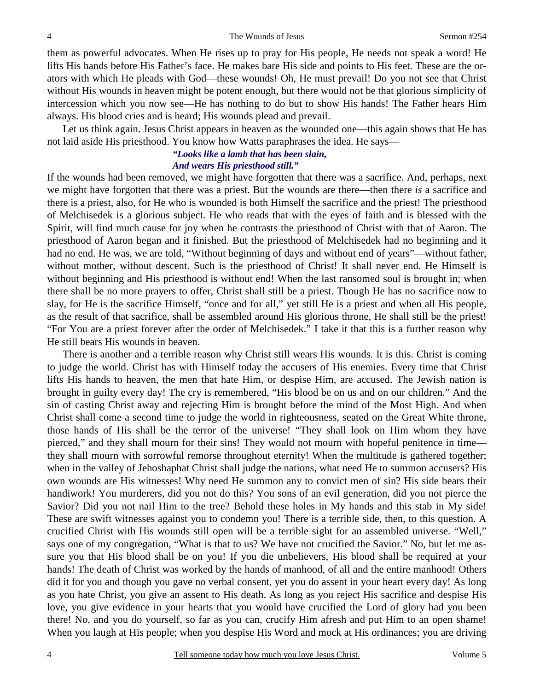them as powerful advocates. When He rises up to pray for His people, He needs not speak a word! He lifts His hands before His Father's face. He makes bare His side and points to His feet. These are the orators with which He pleads with God—these wounds! Oh, He must prevail! Do you not see that Christ without His wounds in heaven might be potent enough, but there would not be that glorious simplicity of intercession which you now see—He has nothing to do but to show His hands! The Father hears Him always. His blood cries and is heard; His wounds plead and prevail.

Let us think again. Jesus Christ appears in heaven as the wounded one—this again shows that He has not laid aside His priesthood. You know how Watts paraphrases the idea. He says—

#### *"Looks like a lamb that has been slain, And wears His priesthood still."*

If the wounds had been removed, we might have forgotten that there was a sacrifice. And, perhaps, next we might have forgotten that there was a priest. But the wounds are there—then there *is* a sacrifice and there is a priest, also, for He who is wounded is both Himself the sacrifice and the priest! The priesthood of Melchisedek is a glorious subject. He who reads that with the eyes of faith and is blessed with the Spirit, will find much cause for joy when he contrasts the priesthood of Christ with that of Aaron. The priesthood of Aaron began and it finished. But the priesthood of Melchisedek had no beginning and it had no end. He was, we are told, "Without beginning of days and without end of years"—without father, without mother, without descent. Such is the priesthood of Christ! It shall never end. He Himself is without beginning and His priesthood is without end! When the last ransomed soul is brought in; when there shall be no more prayers to offer, Christ shall still be a priest. Though He has no sacrifice now to slay, for He is the sacrifice Himself, "once and for all," yet still He is a priest and when all His people, as the result of that sacrifice, shall be assembled around His glorious throne, He shall still be the priest! "For You are a priest forever after the order of Melchisedek." I take it that this is a further reason why He still bears His wounds in heaven.

There is another and a terrible reason why Christ still wears His wounds. It is this. Christ is coming to judge the world. Christ has with Himself today the accusers of His enemies. Every time that Christ lifts His hands to heaven, the men that hate Him, or despise Him, are accused. The Jewish nation is brought in guilty every day! The cry is remembered, "His blood be on us and on our children." And the sin of casting Christ away and rejecting Him is brought before the mind of the Most High. And when Christ shall come a second time to judge the world in righteousness, seated on the Great White throne, those hands of His shall be the terror of the universe! "They shall look on Him whom they have pierced," and they shall mourn for their sins! They would not mourn with hopeful penitence in time they shall mourn with sorrowful remorse throughout eternity! When the multitude is gathered together; when in the valley of Jehoshaphat Christ shall judge the nations, what need He to summon accusers? His own wounds are His witnesses! Why need He summon any to convict men of sin? His side bears their handiwork! You murderers, did you not do this? You sons of an evil generation, did you not pierce the Savior? Did you not nail Him to the tree? Behold these holes in My hands and this stab in My side! These are swift witnesses against you to condemn you! There is a terrible side, then, to this question. A crucified Christ with His wounds still open will be a terrible sight for an assembled universe. "Well," says one of my congregation, "What is that to us? We have not crucified the Savior." No, but let me assure you that His blood shall be on you! If you die unbelievers, His blood shall be required at your hands! The death of Christ was worked by the hands of manhood, of all and the entire manhood! Others did it for you and though you gave no verbal consent, yet you do assent in your heart every day! As long as you hate Christ, you give an assent to His death. As long as you reject His sacrifice and despise His love, you give evidence in your hearts that you would have crucified the Lord of glory had you been there! No, and you do yourself, so far as you can, crucify Him afresh and put Him to an open shame! When you laugh at His people; when you despise His Word and mock at His ordinances; you are driving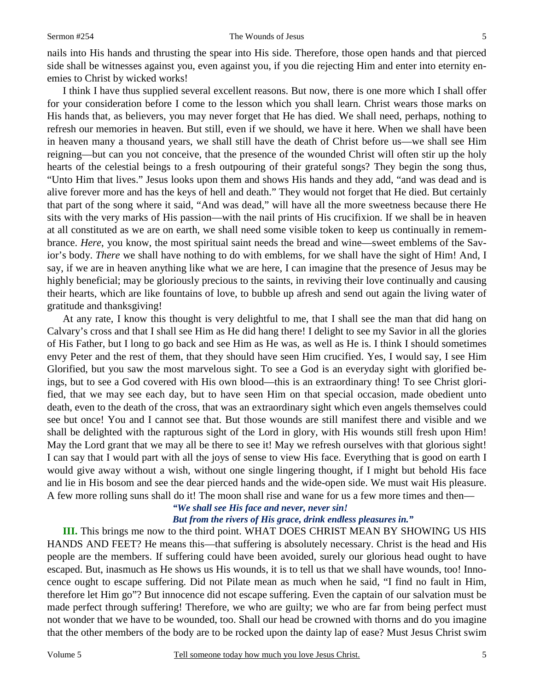nails into His hands and thrusting the spear into His side. Therefore, those open hands and that pierced side shall be witnesses against you, even against you, if you die rejecting Him and enter into eternity enemies to Christ by wicked works!

I think I have thus supplied several excellent reasons. But now, there is one more which I shall offer for your consideration before I come to the lesson which you shall learn. Christ wears those marks on His hands that, as believers, you may never forget that He has died. We shall need, perhaps, nothing to refresh our memories in heaven. But still, even if we should, we have it here. When we shall have been in heaven many a thousand years, we shall still have the death of Christ before us—we shall see Him reigning—but can you not conceive, that the presence of the wounded Christ will often stir up the holy hearts of the celestial beings to a fresh outpouring of their grateful songs? They begin the song thus, "Unto Him that lives." Jesus looks upon them and shows His hands and they add, "and was dead and is alive forever more and has the keys of hell and death." They would not forget that He died. But certainly that part of the song where it said, "And was dead," will have all the more sweetness because there He sits with the very marks of His passion—with the nail prints of His crucifixion. If we shall be in heaven at all constituted as we are on earth, we shall need some visible token to keep us continually in remembrance. *Here*, you know, the most spiritual saint needs the bread and wine—sweet emblems of the Savior's body. *There* we shall have nothing to do with emblems, for we shall have the sight of Him! And, I say, if we are in heaven anything like what we are here, I can imagine that the presence of Jesus may be highly beneficial; may be gloriously precious to the saints, in reviving their love continually and causing their hearts, which are like fountains of love, to bubble up afresh and send out again the living water of gratitude and thanksgiving!

At any rate, I know this thought is very delightful to me, that I shall see the man that did hang on Calvary's cross and that I shall see Him as He did hang there! I delight to see my Savior in all the glories of His Father, but I long to go back and see Him as He was, as well as He is. I think I should sometimes envy Peter and the rest of them, that they should have seen Him crucified. Yes, I would say, I see Him Glorified, but you saw the most marvelous sight. To see a God is an everyday sight with glorified beings, but to see a God covered with His own blood—this is an extraordinary thing! To see Christ glorified, that we may see each day, but to have seen Him on that special occasion, made obedient unto death, even to the death of the cross, that was an extraordinary sight which even angels themselves could see but once! You and I cannot see that. But those wounds are still manifest there and visible and we shall be delighted with the rapturous sight of the Lord in glory, with His wounds still fresh upon Him! May the Lord grant that we may all be there to see it! May we refresh ourselves with that glorious sight! I can say that I would part with all the joys of sense to view His face. Everything that is good on earth I would give away without a wish, without one single lingering thought, if I might but behold His face and lie in His bosom and see the dear pierced hands and the wide-open side. We must wait His pleasure. A few more rolling suns shall do it! The moon shall rise and wane for us a few more times and then—

## *"We shall see His face and never, never sin!*

### *But from the rivers of His grace, drink endless pleasures in."*

**III.** This brings me now to the third point. WHAT DOES CHRIST MEAN BY SHOWING US HIS HANDS AND FEET? He means this—that suffering is absolutely necessary. Christ is the head and His people are the members. If suffering could have been avoided, surely our glorious head ought to have escaped. But, inasmuch as He shows us His wounds, it is to tell us that we shall have wounds, too! Innocence ought to escape suffering. Did not Pilate mean as much when he said, "I find no fault in Him, therefore let Him go"? But innocence did not escape suffering. Even the captain of our salvation must be made perfect through suffering! Therefore, we who are guilty; we who are far from being perfect must not wonder that we have to be wounded, too. Shall our head be crowned with thorns and do you imagine that the other members of the body are to be rocked upon the dainty lap of ease? Must Jesus Christ swim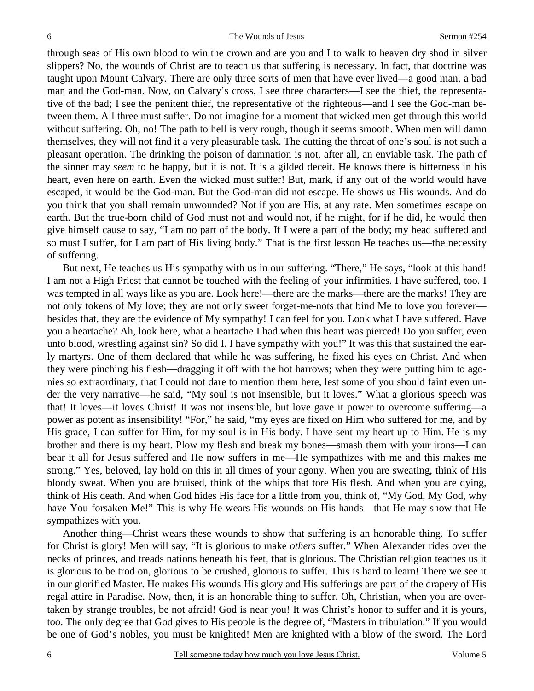through seas of His own blood to win the crown and are you and I to walk to heaven dry shod in silver slippers? No, the wounds of Christ are to teach us that suffering is necessary. In fact, that doctrine was taught upon Mount Calvary. There are only three sorts of men that have ever lived—a good man, a bad man and the God-man. Now, on Calvary's cross, I see three characters—I see the thief, the representative of the bad; I see the penitent thief, the representative of the righteous—and I see the God-man between them. All three must suffer. Do not imagine for a moment that wicked men get through this world without suffering. Oh, no! The path to hell is very rough, though it seems smooth. When men will damn themselves, they will not find it a very pleasurable task. The cutting the throat of one's soul is not such a pleasant operation. The drinking the poison of damnation is not, after all, an enviable task. The path of the sinner may *seem* to be happy, but it is not. It is a gilded deceit. He knows there is bitterness in his heart, even here on earth. Even the wicked must suffer! But, mark, if any out of the world would have escaped, it would be the God-man. But the God-man did not escape. He shows us His wounds. And do you think that you shall remain unwounded? Not if you are His, at any rate. Men sometimes escape on earth. But the true-born child of God must not and would not, if he might, for if he did, he would then give himself cause to say, "I am no part of the body. If I were a part of the body; my head suffered and so must I suffer, for I am part of His living body." That is the first lesson He teaches us—the necessity of suffering.

But next, He teaches us His sympathy with us in our suffering. "There," He says, "look at this hand! I am not a High Priest that cannot be touched with the feeling of your infirmities. I have suffered, too. I was tempted in all ways like as you are. Look here!—there are the marks—there are the marks! They are not only tokens of My love; they are not only sweet forget-me-nots that bind Me to love you forever besides that, they are the evidence of My sympathy! I can feel for you. Look what I have suffered. Have you a heartache? Ah, look here, what a heartache I had when this heart was pierced! Do you suffer, even unto blood, wrestling against sin? So did I. I have sympathy with you!" It was this that sustained the early martyrs. One of them declared that while he was suffering, he fixed his eyes on Christ. And when they were pinching his flesh—dragging it off with the hot harrows; when they were putting him to agonies so extraordinary, that I could not dare to mention them here, lest some of you should faint even under the very narrative—he said, "My soul is not insensible, but it loves." What a glorious speech was that! It loves—it loves Christ! It was not insensible, but love gave it power to overcome suffering—a power as potent as insensibility! "For," he said, "my eyes are fixed on Him who suffered for me, and by His grace, I can suffer for Him, for my soul is in His body. I have sent my heart up to Him. He is my brother and there is my heart. Plow my flesh and break my bones—smash them with your irons—I can bear it all for Jesus suffered and He now suffers in me—He sympathizes with me and this makes me strong." Yes, beloved, lay hold on this in all times of your agony. When you are sweating, think of His bloody sweat. When you are bruised, think of the whips that tore His flesh. And when you are dying, think of His death. And when God hides His face for a little from you, think of, "My God, My God, why have You forsaken Me!" This is why He wears His wounds on His hands—that He may show that He sympathizes with you.

Another thing—Christ wears these wounds to show that suffering is an honorable thing. To suffer for Christ is glory! Men will say, "It is glorious to make *others* suffer." When Alexander rides over the necks of princes, and treads nations beneath his feet, that is glorious. The Christian religion teaches us it is glorious to be trod on, glorious to be crushed, glorious to suffer. This is hard to learn! There we see it in our glorified Master. He makes His wounds His glory and His sufferings are part of the drapery of His regal attire in Paradise. Now, then, it is an honorable thing to suffer. Oh, Christian, when you are overtaken by strange troubles, be not afraid! God is near you! It was Christ's honor to suffer and it is yours, too. The only degree that God gives to His people is the degree of, "Masters in tribulation." If you would be one of God's nobles, you must be knighted! Men are knighted with a blow of the sword. The Lord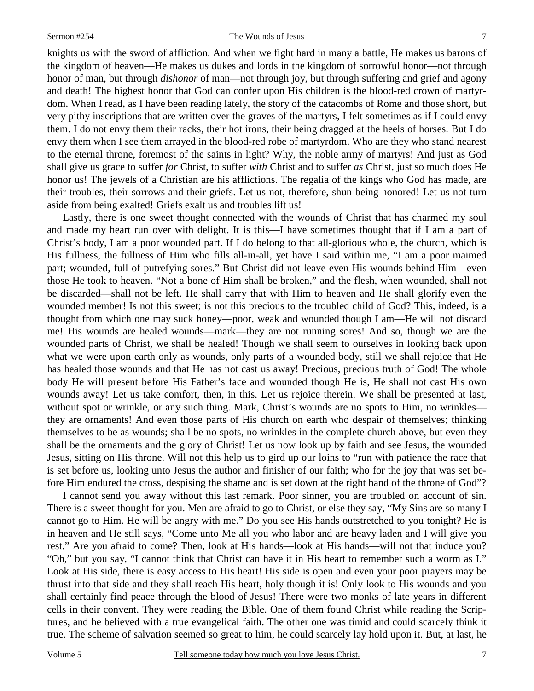#### Sermon #254 The Wounds of Jesus

knights us with the sword of affliction. And when we fight hard in many a battle, He makes us barons of the kingdom of heaven—He makes us dukes and lords in the kingdom of sorrowful honor—not through honor of man, but through *dishonor* of man—not through joy, but through suffering and grief and agony and death! The highest honor that God can confer upon His children is the blood-red crown of martyrdom. When I read, as I have been reading lately, the story of the catacombs of Rome and those short, but very pithy inscriptions that are written over the graves of the martyrs, I felt sometimes as if I could envy them. I do not envy them their racks, their hot irons, their being dragged at the heels of horses. But I do envy them when I see them arrayed in the blood-red robe of martyrdom. Who are they who stand nearest to the eternal throne, foremost of the saints in light? Why, the noble army of martyrs! And just as God shall give us grace to suffer *for* Christ, to suffer *with* Christ and to suffer *as* Christ, just so much does He honor us! The jewels of a Christian are his afflictions. The regalia of the kings who God has made, are their troubles, their sorrows and their griefs. Let us not, therefore, shun being honored! Let us not turn aside from being exalted! Griefs exalt us and troubles lift us!

Lastly, there is one sweet thought connected with the wounds of Christ that has charmed my soul and made my heart run over with delight. It is this—I have sometimes thought that if I am a part of Christ's body, I am a poor wounded part. If I do belong to that all-glorious whole, the church, which is His fullness, the fullness of Him who fills all-in-all, yet have I said within me, "I am a poor maimed part; wounded, full of putrefying sores." But Christ did not leave even His wounds behind Him—even those He took to heaven. "Not a bone of Him shall be broken," and the flesh, when wounded, shall not be discarded—shall not be left. He shall carry that with Him to heaven and He shall glorify even the wounded member! Is not this sweet; is not this precious to the troubled child of God? This, indeed, is a thought from which one may suck honey—poor, weak and wounded though I am—He will not discard me! His wounds are healed wounds—mark—they are not running sores! And so, though we are the wounded parts of Christ, we shall be healed! Though we shall seem to ourselves in looking back upon what we were upon earth only as wounds, only parts of a wounded body, still we shall rejoice that He has healed those wounds and that He has not cast us away! Precious, precious truth of God! The whole body He will present before His Father's face and wounded though He is, He shall not cast His own wounds away! Let us take comfort, then, in this. Let us rejoice therein. We shall be presented at last, without spot or wrinkle, or any such thing. Mark, Christ's wounds are no spots to Him, no wrinkles they are ornaments! And even those parts of His church on earth who despair of themselves; thinking themselves to be as wounds; shall be no spots, no wrinkles in the complete church above, but even they shall be the ornaments and the glory of Christ! Let us now look up by faith and see Jesus, the wounded Jesus, sitting on His throne. Will not this help us to gird up our loins to "run with patience the race that is set before us, looking unto Jesus the author and finisher of our faith; who for the joy that was set before Him endured the cross, despising the shame and is set down at the right hand of the throne of God"?

I cannot send you away without this last remark. Poor sinner, you are troubled on account of sin. There is a sweet thought for you. Men are afraid to go to Christ, or else they say, "My Sins are so many I cannot go to Him. He will be angry with me." Do you see His hands outstretched to you tonight? He is in heaven and He still says, "Come unto Me all you who labor and are heavy laden and I will give you rest." Are you afraid to come? Then, look at His hands—look at His hands—will not that induce you? "Oh," but you say, "I cannot think that Christ can have it in His heart to remember such a worm as I." Look at His side, there is easy access to His heart! His side is open and even your poor prayers may be thrust into that side and they shall reach His heart, holy though it is! Only look to His wounds and you shall certainly find peace through the blood of Jesus! There were two monks of late years in different cells in their convent. They were reading the Bible. One of them found Christ while reading the Scriptures, and he believed with a true evangelical faith. The other one was timid and could scarcely think it true. The scheme of salvation seemed so great to him, he could scarcely lay hold upon it. But, at last, he